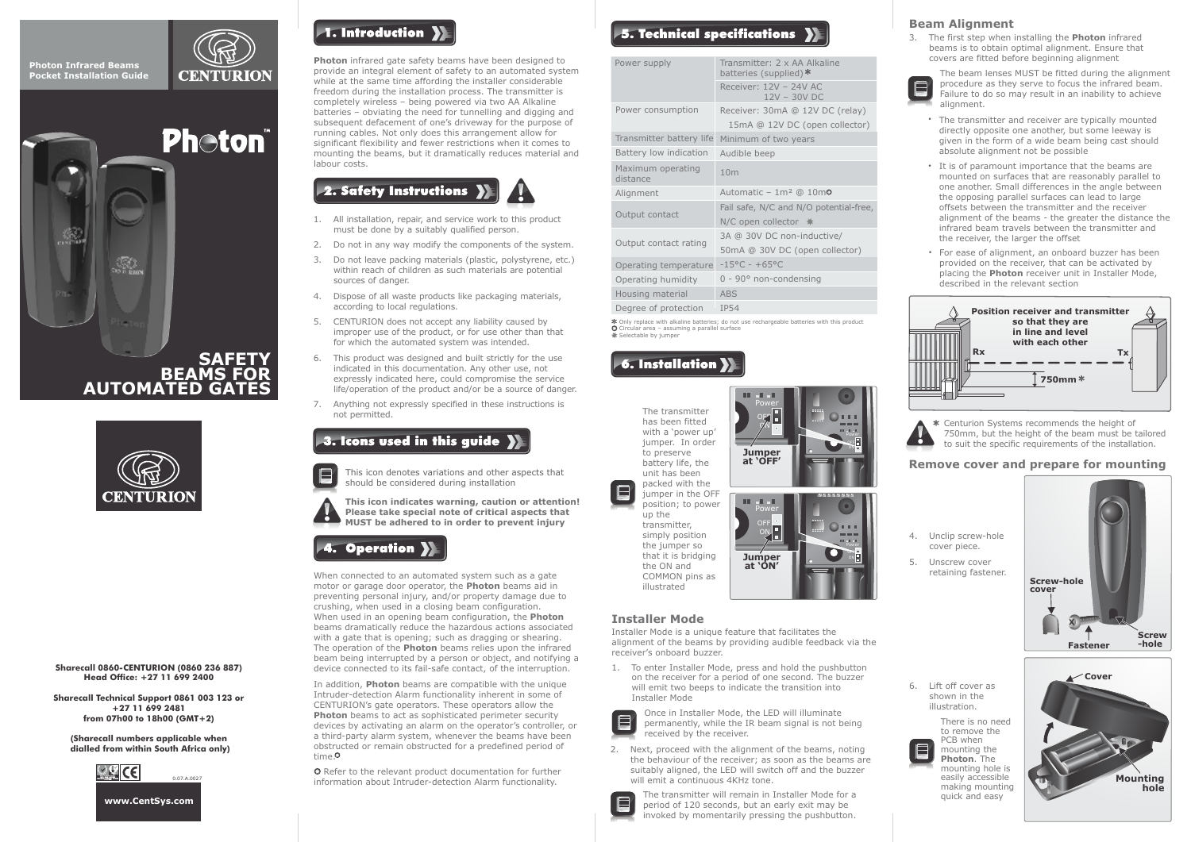





**Sharecall 0860-CENTURION (0860 236 887) Head Office: +27 11 699 2400**

**Sharecall Technical Support 0861 003 123 or +27 11 699 2481 from 07h00 to 18h00 (GMT+2)**

**(Sharecall numbers applicable when dialled from within South Africa only)**





**Photon** infrared gate safety beams have been designed to provide an integral element of safety to an automated system while at the same time affording the installer considerable freedom during the installation process. The transmitter is completely wireless – being powered via two AA Alkaline batteries – obviating the need for tunnelling and digging and subsequent defacement of one's driveway for the purpose of running cables. Not only does this arrangement allow for significant flexibility and fewer restrictions when it comes to mounting the beams, but it dramatically reduces material and labour costs.



- 1. All installation, repair, and service work to this product must be done by a suitably qualified person.
- 2. Do not in any way modify the components of the system.
- 3. Do not leave packing materials (plastic, polystyrene, etc.) within reach of children as such materials are potential sources of danger.
- 4. Dispose of all waste products like packaging materials, according to local regulations.
- 5. CENTURION does not accept any liability caused by improper use of the product, or for use other than that for which the automated system was intended.
- 6. This product was designed and built strictly for the use indicated in this documentation. Any other use, not expressly indicated here, could compromise the service life/operation of the product and/or be a source of danger.
- 7. Anything not expressly specified in these instructions is not permitted.

## 3. Icons used in this quide >>>>

This icon denotes variations and other aspects that should be considered during installation

**This icon indicates warning, caution or attention! Please take special note of critical aspects that MUST be adhered to in order to prevent injury**

# 4. Operation **)**

When connected to an automated system such as a gate motor or garage door operator, the **Photon** beams aid in preventing personal injury, and/or property damage due to crushing, when used in a closing beam configuration. When used in an opening beam configuration, the **Photon** beams dramatically reduce the hazardous actions associated with a gate that is opening; such as dragging or shearing. The operation of the **Photon** beams relies upon the infrared beam being interrupted by a person or object, and notifying a device connected to its fail-safe contact, of the interruption.

In addition, **Photon** beams are compatible with the unique Intruder-detection Alarm functionality inherent in some of CENTURION's gate operators. These operators allow the **Photon** beams to act as sophisticated perimeter security devices by activating an alarm on the operator's controller, or a third-party alarm system, whenever the beams have been obstructed or remain obstructed for a predefined period of time.

 Refer to the relevant product documentation for further information about Intruder-detection Alarm functionality.

## $\blacktriangleright$  5. Technical specifications

| Power supply                  | Transmitter: 2 x AA Alkaline<br>batteries (supplied)* |
|-------------------------------|-------------------------------------------------------|
|                               | Receiver: 12V - 24V AC<br>$12V - 30V$ DC              |
| Power consumption             | Receiver: 30mA @ 12V DC (relay)                       |
|                               | 15mA @ 12V DC (open collector)                        |
| Transmitter battery life      | Minimum of two years                                  |
| Battery low indication        | Audible beep                                          |
| Maximum operating<br>distance | 10 <sub>m</sub>                                       |
| Alignment                     | Automatic - $1m^2$ @ $10m^2$                          |
|                               | Fail safe, N/C and N/O potential-free,                |
|                               |                                                       |
| Output contact                | N/C open collector $*$                                |
|                               | 3A @ 30V DC non-inductive/                            |
| Output contact rating         | 50mA @ 30V DC (open collector)                        |
| Operating temperature         | $-15^{\circ}$ C - +65°C                               |
| Operating humidity            | $0 - 90^\circ$ non-condensing                         |
| Housing material              | <b>ABS</b>                                            |
| Degree of protection          | <b>IP54</b>                                           |

Only replace with alkaline batteries; do not use rechargeable batteries with this product Circular area – assuming a parallel surface <del>**Selectable by jumper**</del>

> **Jumper at 'OFF'**

**Jumper at 'ON'**

Power ON OFF

Power ON OFF

> ON ola

Power ON

## **6. Installation**

The transmitter has been fitted with a 'power up' jumper. In order to preserve battery life, the unit has been packed with the .<br>jumper in the OFF

position; to power up the transmitter simply position the jumper so that it is bridging the ON and COMMON pins as illustrated

#### **Installer Mode**

E

Installer Mode is a unique feature that facilitates the alignment of the beams by providing audible feedback via the receiver's onboard buzzer.

1. To enter Installer Mode, press and hold the pushbutton on the receiver for a period of one second. The buzzer will emit two beeps to indicate the transition into Installer Mode

Once in Installer Mode, the LED will illuminate permanently, while the IR beam signal is not being received by the receiver.

2. Next, proceed with the alignment of the beams, noting the behaviour of the receiver; as soon as the beams are suitably aligned, the LED will switch off and the buzzer will emit a continuous 4KHz tone.



The transmitter will remain in Installer Mode for a period of 120 seconds, but an early exit may be invoked by momentarily pressing the pushbutton.

## **Beam Alignment**

3. The first step when installing the **Photon** infrared beams is to obtain optimal alignment. Ensure that covers are fitted before beginning alignment

The beam lenses MUST be fitted during the alignment procedure as they serve to focus the infrared beam. Failure to do so may result in an inability to achieve alignment.

- The transmitter and receiver are typically mounted directly opposite one another, but some leeway is given in the form of a wide beam being cast should absolute alignment not be possible
- It is of paramount importance that the beams are mounted on surfaces that are reasonably parallel to one another. Small differences in the angle between the opposing parallel surfaces can lead to large offsets between the transmitter and the receiver alignment of the beams - the greater the distance the infrared beam travels between the transmitter and the receiver, the larger the offset
- For ease of alignment, an onboard buzzer has been provided on the receiver, that can be activated by placing the **Photon** receiver unit in Installer Mode, described in the relevant section



Centurion Systems recommends the height of 750mm, but the height of the beam must be tailored to suit the specific requirements of the installation.

#### **Remove cover and prepare for mounting**



6. Lift off cover as shown in the illustration.